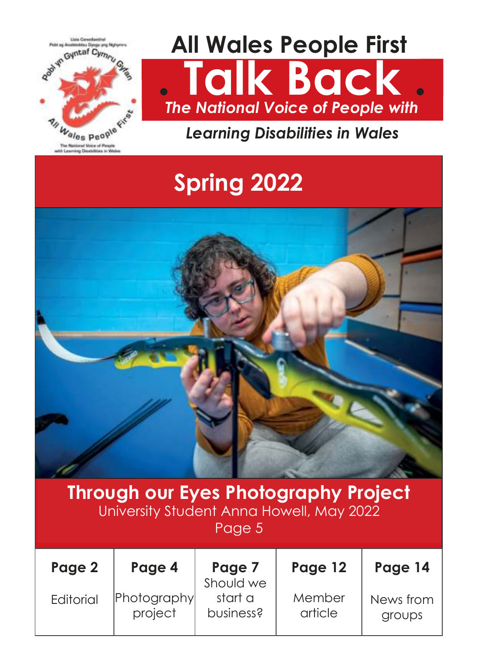

## **All Wales People First . Talk Back .** *The National Voice of People with*

#### *Learning Disabilities in Wales*

## **Spring 2022**



#### **Through our Eyes Photography Project** University Student Anna Howell, May 2022 Page 5

| Page 2    | Page 4             | Page 7<br>Should we | Page 12 | Page 14   |
|-----------|--------------------|---------------------|---------|-----------|
| Editorial | <b>Photography</b> | start a             | Member  | News from |
|           | project            | business?           | article | groups    |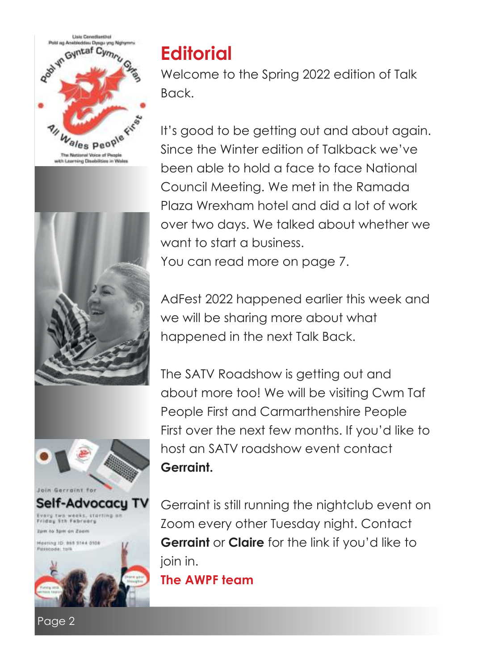





Self-Advocacy TV n to Spm on Zoom





## **Editorial**

Welcome to the Spring 2022 edition of Talk Back.

It's good to be getting out and about again. Since the Winter edition of Talkback we've been able to hold a face to face National Council Meeting. We met in the Ramada Plaza Wrexham hotel and did a lot of work over two days. We talked about whether we want to start a business.

You can read more on page 7.

AdFest 2022 happened earlier this week and we will be sharing more about what happened in the next Talk Back.

The SATV Roadshow is getting out and about more too! We will be visiting Cwm Taf People First and Carmarthenshire People First over the next few months. If you'd like to host an SATV roadshow event contact **Gerraint.**

Gerraint is still running the nightclub event on Zoom every other Tuesday night. Contact **Gerraint** or **Claire** for the link if you'd like to join in.

**The AWPF team**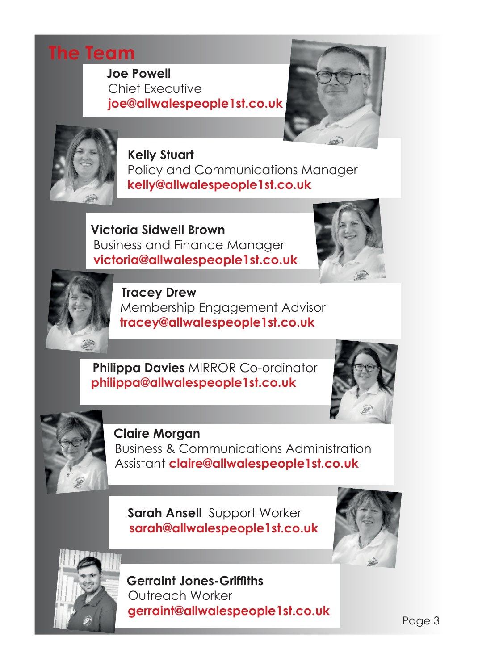## **The Team**

 **Joe Powell** Chief Executive **joe@allwalespeople1st.co.uk**





 **Kelly Stuart** Policy and Communications Manager **kelly@allwalespeople1st.co.uk**

 **Victoria Sidwell Brown**  Business and Finance Manager **victoria@allwalespeople1st.co.uk**





 **Tracey Drew** Membership Engagement Advisor  **tracey@allwalespeople1st.co.uk**

#### **Philippa Davies** MIRROR Co-ordinator  **philippa@allwalespeople1st.co.uk**





 **Claire Morgan** Business & Communications Administration Assistant **claire@allwalespeople1st.co.uk**

 **Sarah Ansell** Support Worker **sarah@allwalespeople1st.co.uk**





 **Gerraint Jones-Griffiths** Outreach Worker **gerraint@allwalespeople1st.co.uk**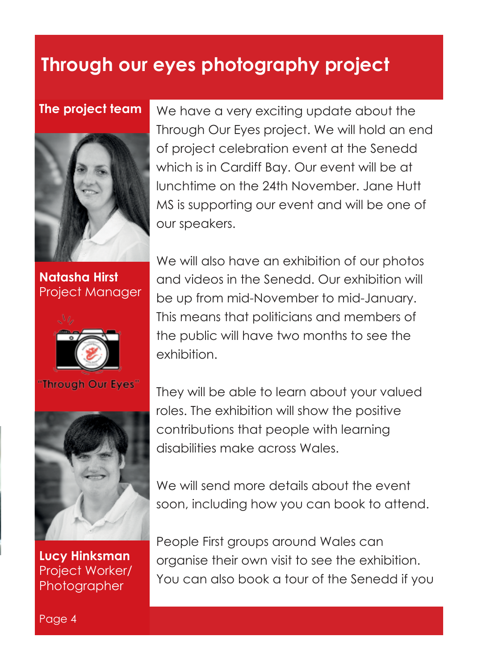## **Through our eyes photography project**

#### **The project team**



**Natasha Hirst** Project Manager



"Through Our Eyes"



**Lucy Hinksman**  Project Worker/ Photographer

We have a very exciting update about the Through Our Eyes project. We will hold an end of project celebration event at the Senedd which is in Cardiff Bay. Our event will be at lunchtime on the 24th November. Jane Hutt MS is supporting our event and will be one of our speakers.

We will also have an exhibition of our photos and videos in the Senedd. Our exhibition will be up from mid-November to mid-January. This means that politicians and members of the public will have two months to see the exhibition.

They will be able to learn about your valued roles. The exhibition will show the positive contributions that people with learning disabilities make across Wales.

We will send more details about the event soon, including how you can book to attend.

People First groups around Wales can organise their own visit to see the exhibition. You can also book a tour of the Senedd if you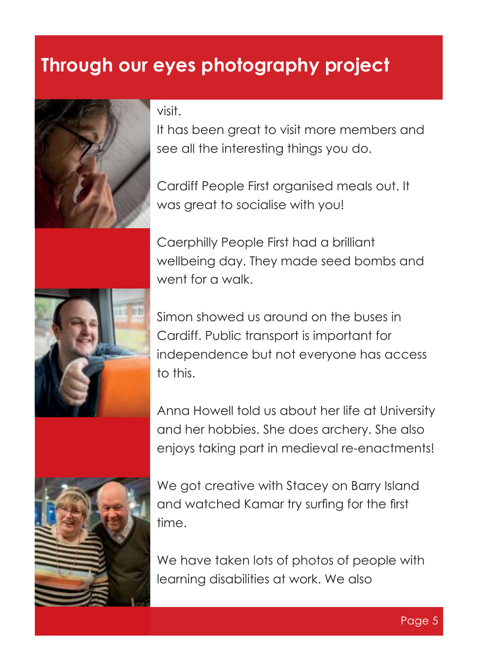## **Through our eyes photography project**



visit.

It has been great to visit more members and see all the interesting things you do.

Cardiff People First organised meals out. It was great to socialise with you!

Caerphilly People First had a brilliant wellbeing day. They made seed bombs and went for a walk.

Simon showed us around on the buses in Cardiff. Public transport is important for independence but not everyone has access to this.

Anna Howell told us about her life at University and her hobbies. She does archery. She also enjoys taking part in medieval re-enactments!



We got creative with Stacey on Barry Island and watched Kamar try surfing for the first time.

We have taken lots of photos of people with learning disabilities at work. We also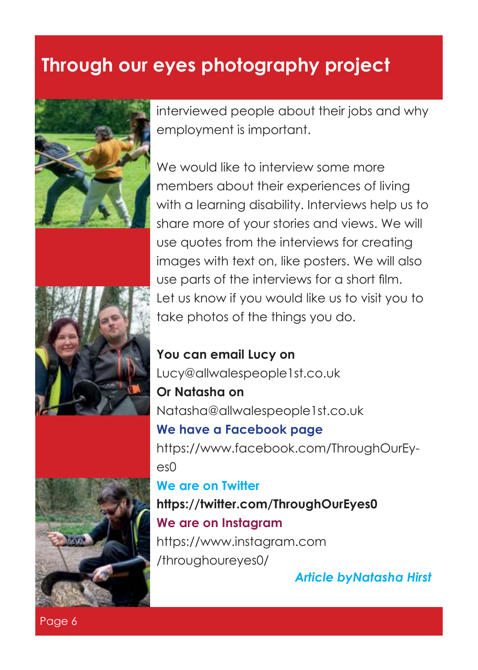## **Through our eyes photography project**







interviewed people about their jobs and why employment is important.

We would like to interview some more members about their experiences of living with a learning disability. Interviews help us to share more of your stories and views. We will use quotes from the interviews for creating images with text on, like posters. We will also use parts of the interviews for a short film. Let us know if you would like us to visit you to take photos of the things you do.

**You can email Lucy on**  Lucy@allwalespeople1st.co.uk **Or Natasha on**  Natasha@allwalespeople1st.co.uk **We have a Facebook page**  https://www.facebook.com/ThroughOurEyes0 **We are on Twitter** 

**https://twitter.com/ThroughOurEyes0 We are on Instagram**  https://www.instagram.com /throughoureyes0/

 *Article byNatasha Hirst*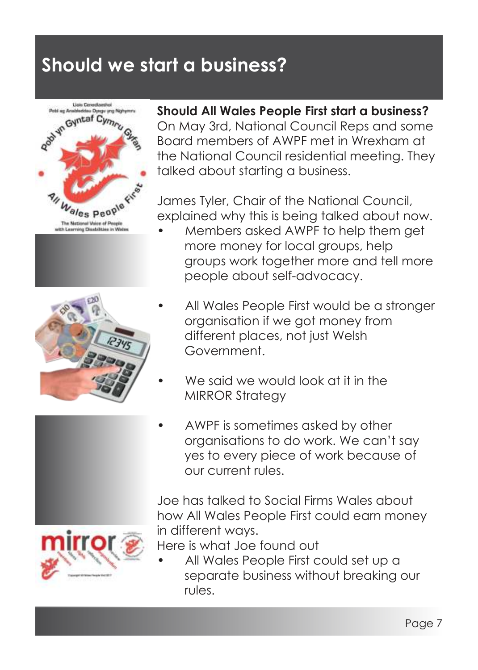



**Should All Wales People First start a business?** On May 3rd, National Council Reps and some Board members of AWPF met in Wrexham at the National Council residential meeting. They talked about starting a business.

James Tyler, Chair of the National Council, explained why this is being talked about now.

- Members asked AWPF to help them get more money for local groups, help groups work together more and tell more people about self-advocacy.
- All Wales People First would be a stronger organisation if we got money from different places, not just Welsh Government.
- We said we would look at it in the MIRROR Strategy
- AWPF is sometimes asked by other organisations to do work. We can't say yes to every piece of work because of our current rules.

Joe has talked to Social Firms Wales about how All Wales People First could earn money in different ways.



Here is what Joe found out

• All Wales People First could set up a separate business without breaking our rules.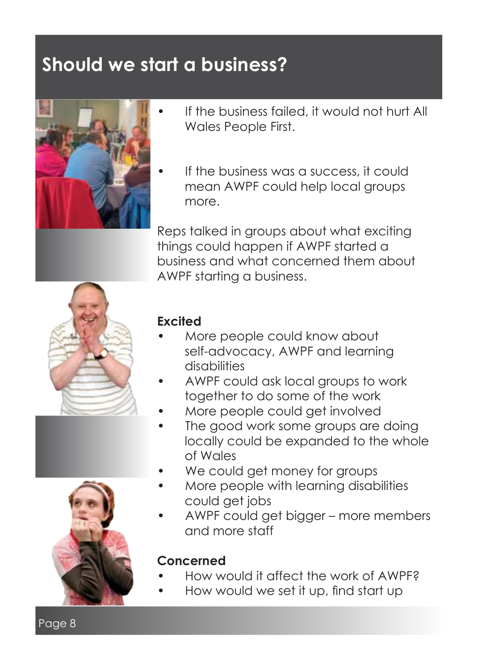

- If the business failed, it would not hurt All Wales People First.
- If the business was a success, it could mean AWPF could help local groups more.

Reps talked in groups about what exciting things could happen if AWPF started a business and what concerned them about AWPF starting a business.



#### **Excited**

- More people could know about self-advocacy, AWPF and learning **disabilities**
- AWPF could ask local groups to work together to do some of the work
- More people could get involved
- The good work some groups are doing locally could be expanded to the whole of Wales
- We could get money for groups
- More people with learning disabilities could get jobs
- AWPF could get bigger more members and more staff

#### **Concerned**

- How would it affect the work of AWPF?
- How would we set it up, find start up

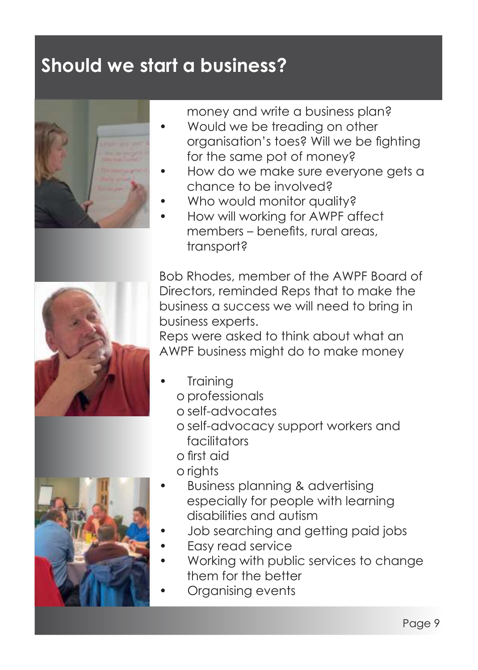

money and write a business plan?

- Would we be treading on other organisation's toes? Will we be fighting for the same pot of money?
- How do we make sure everyone gets a chance to be involved?
- Who would monitor quality?
- How will working for AWPF affect members – benefits, rural areas, transport?

Bob Rhodes, member of the AWPF Board of Directors, reminded Reps that to make the business a success we will need to bring in business experts.

Reps were asked to think about what an AWPF business might do to make money

- **Training** 
	- o professionals
	- o self-advocates
	- o self-advocacy support workers and facilitators
	- o first aid
	- o rights
- Business planning & advertising especially for people with learning disabilities and autism
- Job searching and getting paid jobs
- Easy read service
- Working with public services to change them for the better
- Organising events

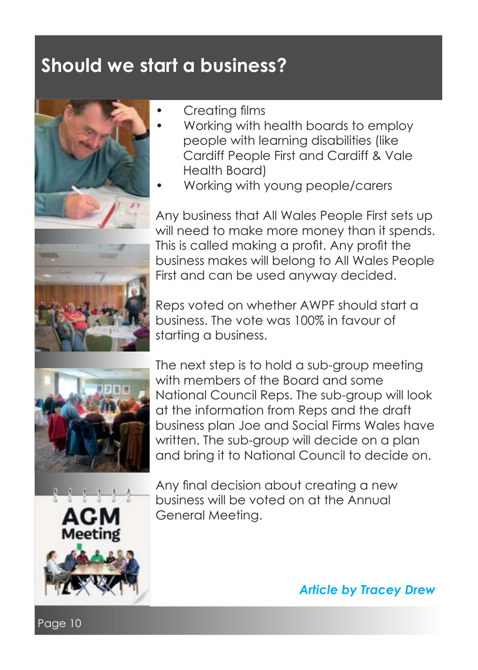





- Creating films
- Working with health boards to employ people with learning disabilities (like Cardiff People First and Cardiff & Vale Health Board)
- Working with young people/carers

Any business that All Wales People First sets up will need to make more money than it spends. This is called making a profit. Any profit the business makes will belong to All Wales People First and can be used anyway decided.

Reps voted on whether AWPF should start a business. The vote was 100% in favour of starting a business.

The next step is to hold a sub-group meeting with members of the Board and some National Council Reps. The sub-group will look at the information from Reps and the draft business plan Joe and Social Firms Wales have written. The sub-group will decide on a plan and bring it to National Council to decide on.

Meeting

Any final decision about creating a new business will be voted on at the Annual General Meeting.

#### *Article by Tracey Drew*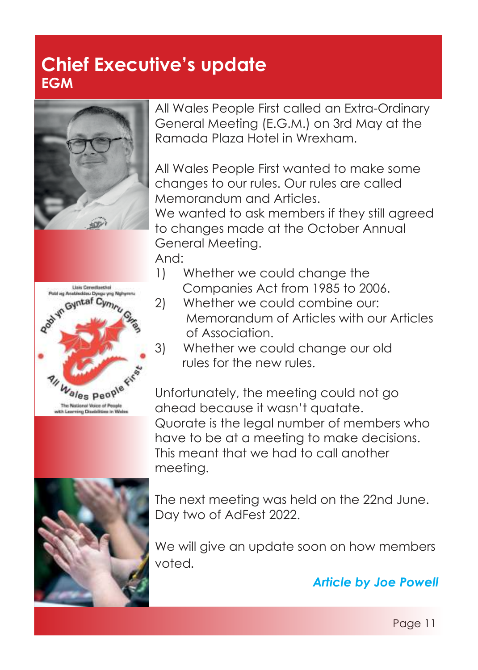## **Chief Executive's update EGM**



Liais Cerediaethol ig Anableddau Dysgu yng Nol Gyntaf Cyn

ales People The National Voice of People h Learning Disabilities in Wate

**Rook 45** 

All Wales People First called an Extra-Ordinary General Meeting (E.G.M.) on 3rd May at the Ramada Plaza Hotel in Wrexham.

All Wales People First wanted to make some changes to our rules. Our rules are called Memorandum and Articles.

We wanted to ask members if they still agreed to changes made at the October Annual General Meeting.

And:

- 1) Whether we could change the Companies Act from 1985 to 2006.
- 2) Whether we could combine our: Memorandum of Articles with our Articles of Association.
- 3) Whether we could change our old rules for the new rules.

Unfortunately, the meeting could not go ahead because it wasn't quatate. Quorate is the legal number of members who have to be at a meeting to make decisions. This meant that we had to call another meeting.



The next meeting was held on the 22nd June. Day two of AdFest 2022.

We will give an update soon on how members voted.

*Article by Joe Powell*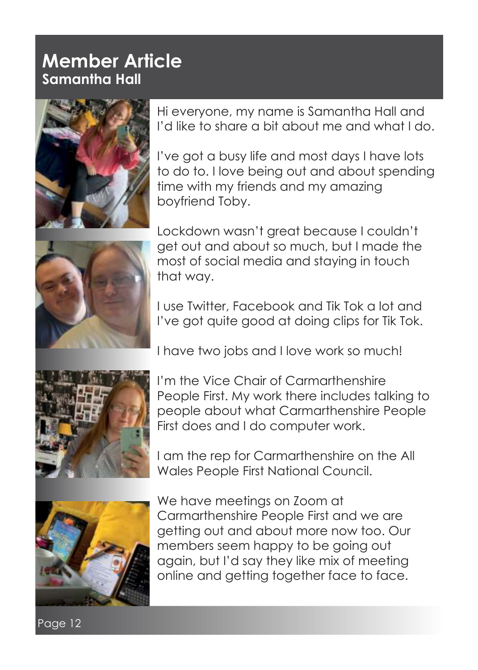## **Member Article Samantha Hall**



Hi everyone, my name is Samantha Hall and I'd like to share a bit about me and what I do.

I've got a busy life and most days I have lots to do to. I love being out and about spending time with my friends and my amazing boyfriend Toby.

Lockdown wasn't great because I couldn't get out and about so much, but I made the most of social media and staying in touch that way.

I use Twitter, Facebook and Tik Tok a lot and I've got quite good at doing clips for Tik Tok.

I have two jobs and I love work so much!

I'm the Vice Chair of Carmarthenshire People First. My work there includes talking to people about what Carmarthenshire People First does and I do computer work.

I am the rep for Carmarthenshire on the All Wales People First National Council.



We have meetings on Zoom at Carmarthenshire People First and we are getting out and about more now too. Our members seem happy to be going out again, but I'd say they like mix of meeting online and getting together face to face.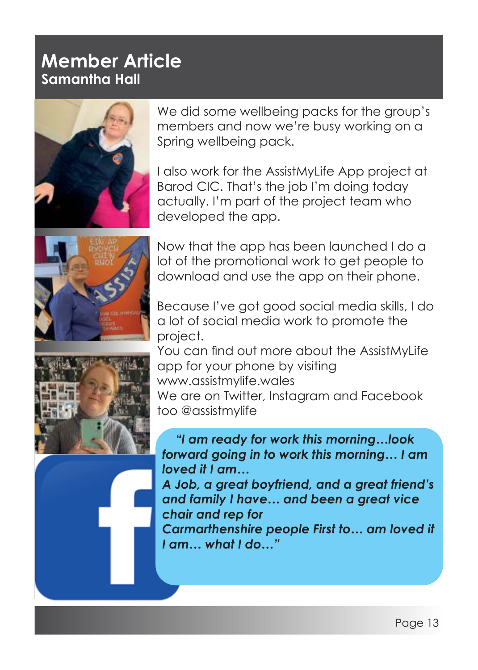## **Member Article Samantha Hall**



We did some wellbeing packs for the group's members and now we're busy working on a Spring wellbeing pack.

I also work for the AssistMyLife App project at Barod CIC. That's the job I'm doing today actually. I'm part of the project team who developed the app.







Now that the app has been launched I do a lot of the promotional work to get people to download and use the app on their phone.

Because I've got good social media skills, I do a lot of social media work to promote the project.

You can find out more about the AssistMyLife app for your phone by visiting www.assistmylife.wales We are on Twitter, Instagram and Facebook too @assistmylife

*"I am ready for work this morning…look forward going in to work this morning… I am loved it I am…* 

*A Job, a great boyfriend, and a great friend's and family I have… and been a great vice chair and rep for* 

*Carmarthenshire people First to… am loved it I am… what I do…"*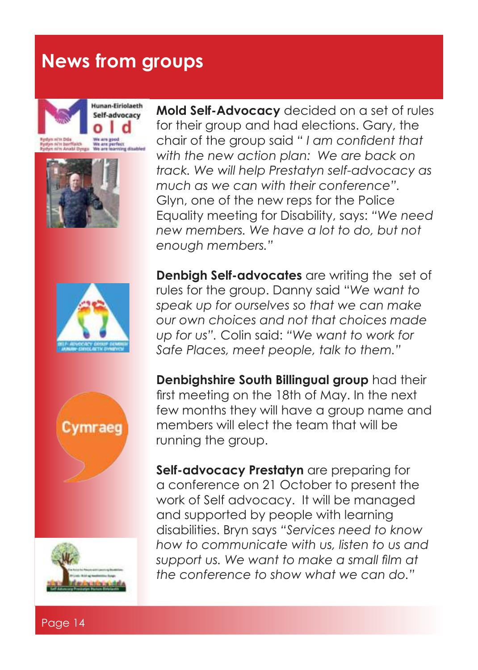

Hunan-Eiriolaeth Self-advocacy

and local



**Mold Self-Advocacy** decided on a set of rules for their group and had elections. Gary, the chair of the group said *" I am confident that with the new action plan: We are back on track. We will help Prestatyn self-advocacy as much as we can with their conference".*  Glyn, one of the new reps for the Police Equality meeting for Disability, says: *"We need new members. We have a lot to do, but not enough members."*



**Denbigh Self-advocates** are writing the set of rules for the group. Danny said "*We want to speak up for ourselves so that we can make our own choices and not that choices made up for us".* Colin said: *"We want to work for Safe Places, meet people, talk to them."*





**Denbighshire South Billingual group** had their first meeting on the 18th of May. In the next few months they will have a group name and members will elect the team that will be running the group.

**Self-advocacy Prestatyn** are preparing for a conference on 21 October to present the work of Self advocacy. It will be managed and supported by people with learning disabilities. Bryn says *"Services need to know how to communicate with us, listen to us and support us. We want to make a small film at the conference to show what we can do."*

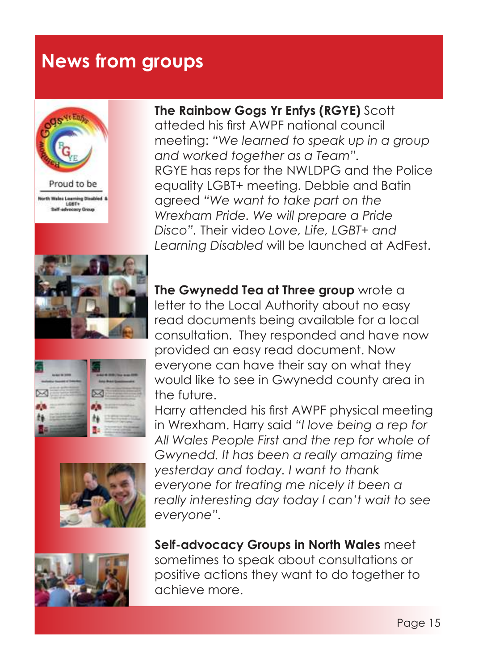

**Islas Learning Di** LGBT+ .<br>cy Group







#### **The Rainbow Gogs Yr Enfys (RGYE)** Scott

atteded his first AWPF national council meeting: *"We learned to speak up in a group and worked together as a Team".* RGYE has reps for the NWLDPG and the Police equality LGBT+ meeting. Debbie and Batin agreed *"We want to take part on the Wrexham Pride. We will prepare a Pride Disco".* Their video *Love, Life, LGBT+ and Learning Disabled* will be launched at AdFest.

**The Gwynedd Tea at Three group** wrote a

letter to the Local Authority about no easy read documents being available for a local consultation. They responded and have now provided an easy read document. Now everyone can have their say on what they would like to see in Gwynedd county area in the future.

Harry attended his first AWPF physical meeting in Wrexham. Harry said *"I love being a rep for All Wales People First and the rep for whole of Gwynedd. It has been a really amazing time yesterday and today. I want to thank everyone for treating me nicely it been a really interesting day today I can't wait to see everyone".*



**Self-advocacy Groups in North Wales** meet sometimes to speak about consultations or positive actions they want to do together to achieve more.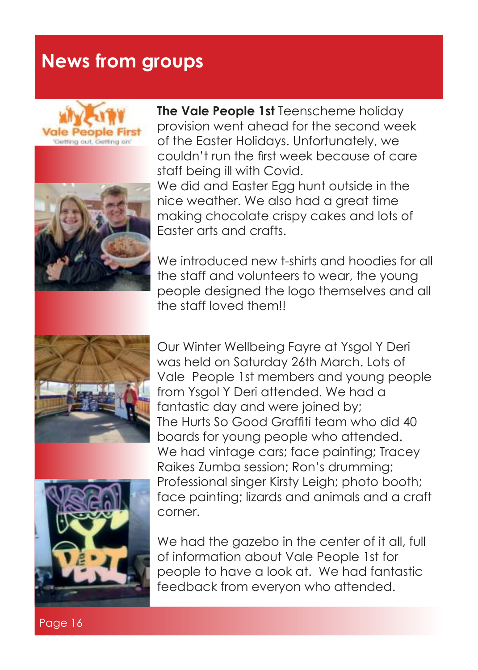

**The Vale People 1st** Teenscheme holiday provision went ahead for the second week of the Easter Holidays. Unfortunately, we couldn't run the first week because of care staff being ill with Covid.

We did and Easter Egg hunt outside in the nice weather. We also had a great time making chocolate crispy cakes and lots of Easter arts and crafts.

We introduced new t-shirts and hoodies for all the staff and volunteers to wear, the young people designed the logo themselves and all the staff loved them!!





Our Winter Wellbeing Fayre at Ysgol Y Deri was held on Saturday 26th March. Lots of Vale People 1st members and young people from Ysgol Y Deri attended. We had a fantastic day and were joined by; The Hurts So Good Graffiti team who did 40 boards for young people who attended. We had vintage cars; face painting; Tracey Raikes Zumba session; Ron's drumming; Professional singer Kirsty Leigh; photo booth; face painting; lizards and animals and a craft corner.

We had the gazebo in the center of it all, full of information about Vale People 1st for people to have a look at. We had fantastic feedback from everyon who attended.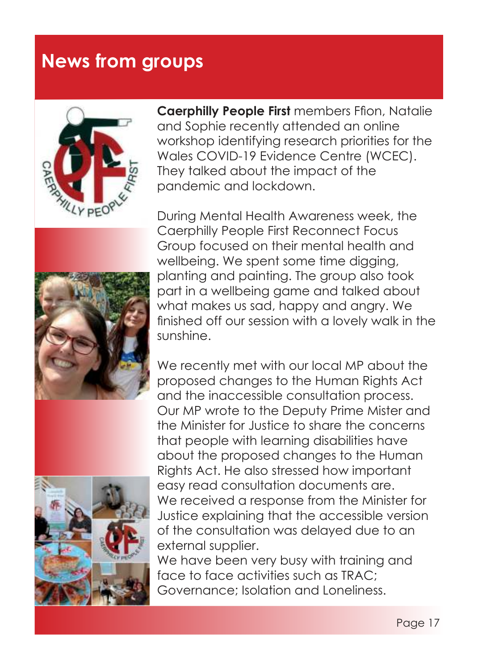

**Caerphilly People First** members Ffion, Natalie and Sophie recently attended an online workshop identifying research priorities for the Wales COVID-19 Evidence Centre (WCEC). They talked about the impact of the pandemic and lockdown.

During Mental Health Awareness week, the Caerphilly People First Reconnect Focus Group focused on their mental health and wellbeing. We spent some time digging, planting and painting. The group also took part in a wellbeing game and talked about what makes us sad, happy and angry. We finished off our session with a lovely walk in the sunshine.

We recently met with our local MP about the proposed changes to the Human Rights Act and the inaccessible consultation process. Our MP wrote to the Deputy Prime Mister and the Minister for Justice to share the concerns that people with learning disabilities have about the proposed changes to the Human Rights Act. He also stressed how important easy read consultation documents are. We received a response from the Minister for Justice explaining that the accessible version of the consultation was delayed due to an external supplier.

We have been very busy with training and face to face activities such as TRAC; Governance; Isolation and Loneliness.



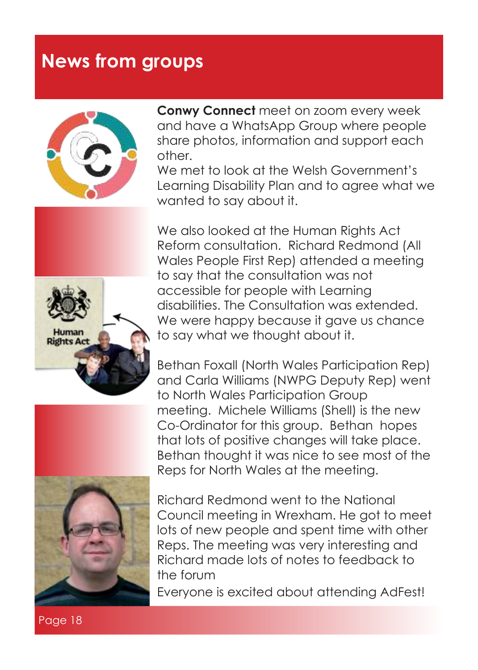

**Conwy Connect** meet on zoom every week and have a WhatsApp Group where people share photos, information and support each other.

We met to look at the Welsh Government's Learning Disability Plan and to agree what we wanted to say about it.





We also looked at the Human Rights Act Reform consultation. Richard Redmond (All Wales People First Rep) attended a meeting to say that the consultation was not accessible for people with Learning disabilities. The Consultation was extended. We were happy because it gave us chance to say what we thought about it.

Bethan Foxall (North Wales Participation Rep) and Carla Williams (NWPG Deputy Rep) went to North Wales Participation Group meeting. Michele Williams (Shell) is the new Co-Ordinator for this group. Bethan hopes that lots of positive changes will take place. Bethan thought it was nice to see most of the Reps for North Wales at the meeting.

Richard Redmond went to the National Council meeting in Wrexham. He got to meet lots of new people and spent time with other Reps. The meeting was very interesting and Richard made lots of notes to feedback to the forum

Everyone is excited about attending AdFest!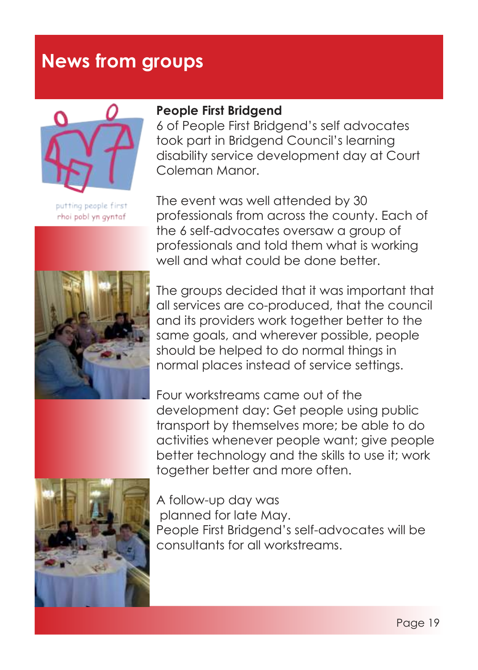

putting people first rhoi pobl yn gyntaf

#### **People First Bridgend**

6 of People First Bridgend's self advocates took part in Bridgend Council's learning disability service development day at Court Coleman Manor.

The event was well attended by 30 professionals from across the county. Each of the 6 self-advocates oversaw a group of professionals and told them what is working well and what could be done better.

The groups decided that it was important that all services are co-produced, that the council and its providers work together better to the same goals, and wherever possible, people should be helped to do normal things in normal places instead of service settings.

Four workstreams came out of the development day: Get people using public transport by themselves more; be able to do activities whenever people want; give people better technology and the skills to use it; work together better and more often.



A follow-up day was planned for late May. People First Bridgend's self-advocates will be consultants for all workstreams.